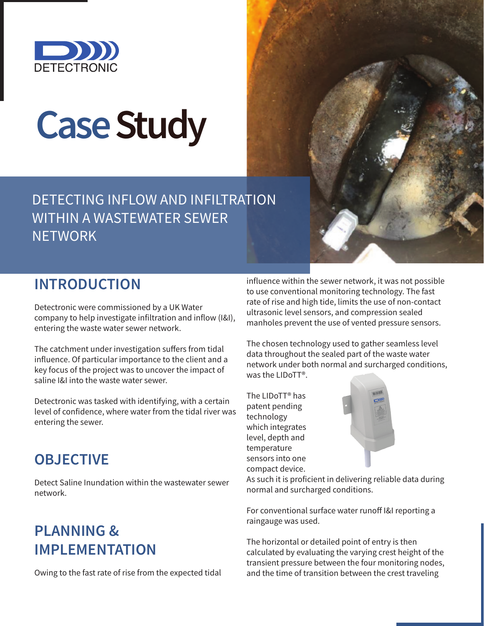

# **Case Study**

DETECTING INFLOW AND INFILTRATION WITHIN A WASTEWATER SEWER **NETWORK** 

### **INTRODUCTION**

Detectronic were commissioned by a UK Water company to help investigate infiltration and inflow (I&I), entering the waste water sewer network.

The catchment under investigation suffers from tidal influence. Of particular importance to the client and a key focus of the project was to uncover the impact of saline I&I into the waste water sewer.

Detectronic was tasked with identifying, with a certain level of confidence, where water from the tidal river was entering the sewer.

#### **OBJECTIVE**

Detect Saline Inundation within the wastewater sewer network.

## **PLANNING & IMPLEMENTATION**

Owing to the fast rate of rise from the expected tidal

influence within the sewer network, it was not possible to use conventional monitoring technology. The fast rate of rise and high tide, limits the use of non-contact ultrasonic level sensors, and compression sealed manholes prevent the use of vented pressure sensors.

The chosen technology used to gather seamless level data throughout the sealed part of the waste water network under both normal and surcharged conditions, was the LIDoTT®.

The LIDoTT® has patent pending technology which integrates level, depth and temperature sensors into one compact device.



As such it is proficient in delivering reliable data during normal and surcharged conditions.

For conventional surface water runoff I&I reporting a raingauge was used.

The horizontal or detailed point of entry is then calculated by evaluating the varying crest height of the transient pressure between the four monitoring nodes, and the time of transition between the crest traveling